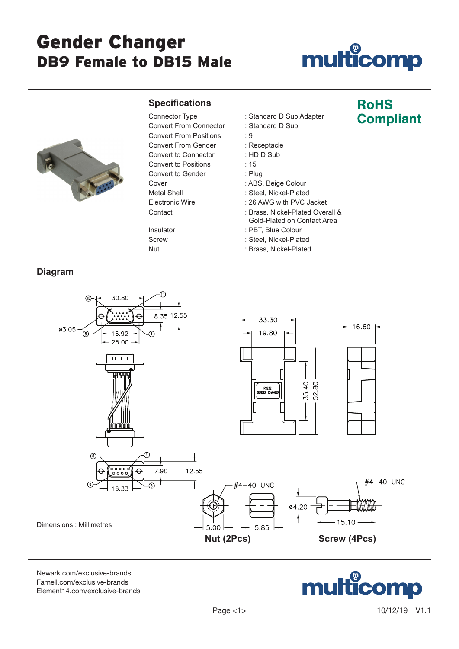# Gender Changer DB9 Female to DB15 Male

### **ulticomp** mu

**RoHS** 

**Compliant** 



#### **Specifications**

Convert From Connector : Standard D Sub Convert From Positions : 9 Convert From Gender : Receptacle Convert to Connector : HD D Sub Convert to Positions : 15 Convert to Gender : Plug Cover : ABS, Beige Colour Metal Shell **in Allie is a state of the Steel**, Nickel-Plated Electronic Wire : 26 AWG with PVC Jacket

- Connector Type : Standard D Sub Adapter
	-
	-
	-
	-
	-
	-
	-
	-
	-
- Contact : Brass, Nickel-Plated Overall & Gold-Plated on Contact Area
- Insulator : PBT, Blue Colour
- Screw : Steel, Nickel-Plated
- Nut : Brass, Nickel-Plated

#### **Diagram**



[Newark.com/exclusive-brands](https://www.newark.com/exclusive-brands) [Farnell.com/exclusive-brands](https://www.farnell.com/exclusive-brands) [Element14.com/exclusive-brands](https://element14.com/exclusive-brands)